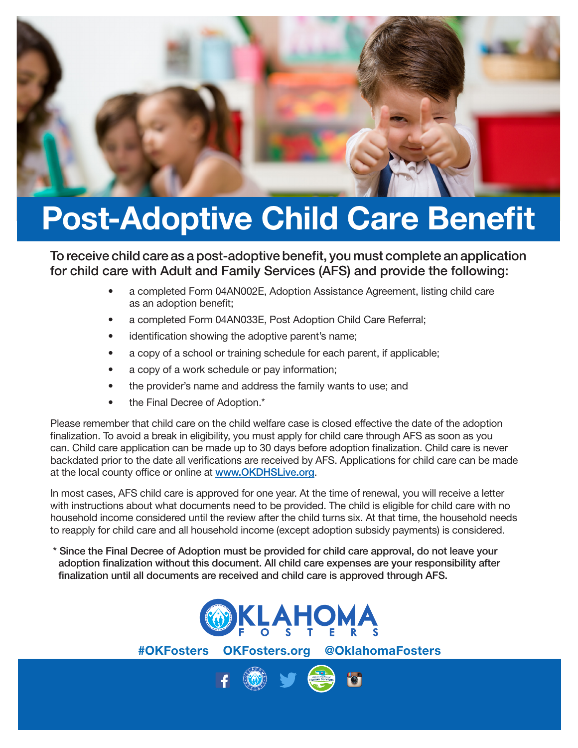

## Post-Adoptive Child Care Benefit

To receive child care as a post-adoptive benefit, you must complete an application for child care with Adult and Family Services (AFS) and provide the following:

- a completed Form 04AN002E, Adoption Assistance Agreement, listing child care as an adoption benefit;
- a completed Form 04AN033E, Post Adoption Child Care Referral;
- identification showing the adoptive parent's name;
- a copy of a school or training schedule for each parent, if applicable;
- a copy of a work schedule or pay information;
- the provider's name and address the family wants to use; and
- the Final Decree of Adoption.\*

Please remember that child care on the child welfare case is closed effective the date of the adoption finalization. To avoid a break in eligibility, you must apply for child care through AFS as soon as you can. Child care application can be made up to 30 days before adoption finalization. Child care is never backdated prior to the date all verifications are received by AFS. Applications for child care can be made at the local county office or online at www.OKDHSLive.org.

In most cases, AFS child care is approved for one year. At the time of renewal, you will receive a letter with instructions about what documents need to be provided. The child is eligible for child care with no household income considered until the review after the child turns six. At that time, the household needs to reapply for child care and all household income (except adoption subsidy payments) is considered.

 \* Since the Final Decree of Adoption must be provided for child care approval, do not leave your adoption finalization without this document. All child care expenses are your responsibility after finalization until all documents are received and child care is approved through AFS.



#OKFosters OKFosters.org @OklahomaFosters